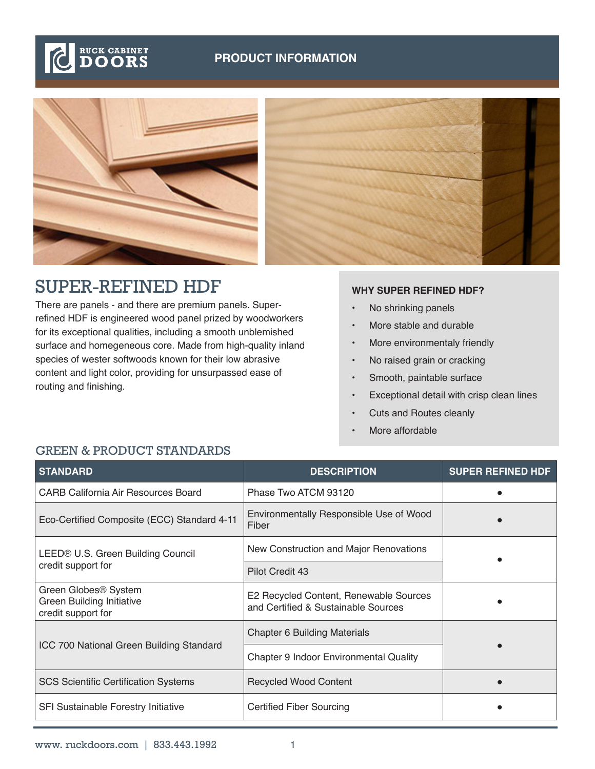



## SUPER-REFINED HDF

There are panels - and there are premium panels. Superrefined HDF is engineered wood panel prized by woodworkers for its exceptional qualities, including a smooth unblemished surface and homegeneous core. Made from high-quality inland species of wester softwoods known for their low abrasive content and light color, providing for unsurpassed ease of routing and finishing.

## **WHY SUPER REFINED HDF?**

- No shrinking panels
- More stable and durable
- More environmentaly friendly
- No raised grain or cracking
- Smooth, paintable surface
- Exceptional detail with crisp clean lines
- Cuts and Routes cleanly
- More affordable

| <b>STANDARD</b>                                                                            | <b>DESCRIPTION</b>                                                            | <b>SUPER REFINED HDF</b> |  |
|--------------------------------------------------------------------------------------------|-------------------------------------------------------------------------------|--------------------------|--|
| CARB California Air Resources Board                                                        | Phase Two ATCM 93120                                                          |                          |  |
| Eco-Certified Composite (ECC) Standard 4-11                                                | Environmentally Responsible Use of Wood<br>Fiber                              |                          |  |
| LEED® U.S. Green Building Council<br>credit support for                                    | New Construction and Major Renovations                                        |                          |  |
|                                                                                            | Pilot Credit 43                                                               |                          |  |
| Green Globes <sup>®</sup> System<br><b>Green Building Initiative</b><br>credit support for | E2 Recycled Content, Renewable Sources<br>and Certified & Sustainable Sources |                          |  |
| ICC 700 National Green Building Standard                                                   | <b>Chapter 6 Building Materials</b>                                           |                          |  |
|                                                                                            | Chapter 9 Indoor Environmental Quality                                        |                          |  |
| <b>SCS Scientific Certification Systems</b>                                                | <b>Recycled Wood Content</b>                                                  |                          |  |
| SFI Sustainable Forestry Initiative                                                        | <b>Certified Fiber Sourcing</b>                                               |                          |  |

## GREEN & PRODUCT STANDARDS